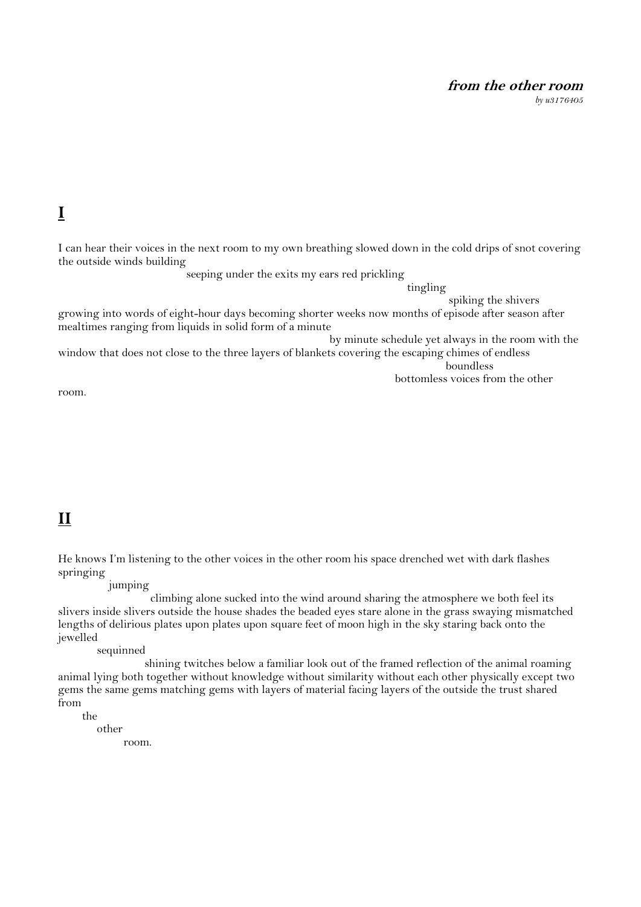#### **from the other room**

*by u3176405*

## **I**

I can hear their voices in the next room to my own breathing slowed down in the cold drips of snot covering the outside winds building

seeping under the exits my ears red prickling

tingling

spiking the shivers

growing into words of eight-hour days becoming shorter weeks now months of episode after season after mealtimes ranging from liquids in solid form of a minute

by minute schedule yet always in the room with the

window that does not close to the three layers of blankets covering the escaping chimes of endless boundless

bottomless voices from the other

room.

# **II**

He knows I'm listening to the other voices in the other room his space drenched wet with dark flashes springing

jumping

 climbing alone sucked into the wind around sharing the atmosphere we both feel its slivers inside slivers outside the house shades the beaded eyes stare alone in the grass swaying mismatched lengths of delirious plates upon plates upon square feet of moon high in the sky staring back onto the jewelled

sequinned

 shining twitches below a familiar look out of the framed reflection of the animal roaming animal lying both together without knowledge without similarity without each other physically except two gems the same gems matching gems with layers of material facing layers of the outside the trust shared from the

other

room.